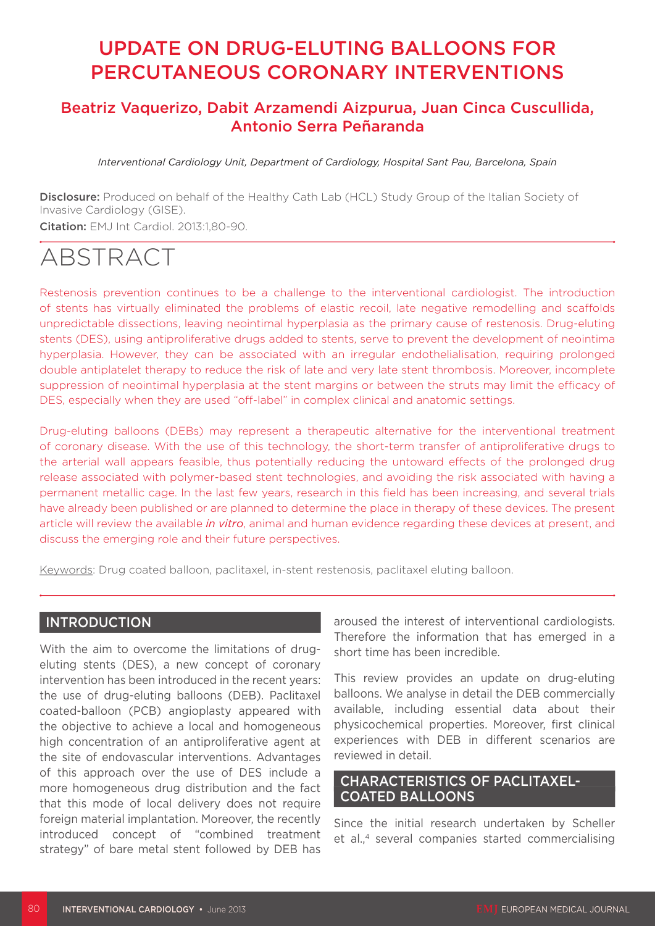# UPDATE ON DRUG-ELUTING BALLOONS FOR PERCUTANEOUS CORONARY INTERVENTIONS

# Beatriz Vaquerizo, Dabit Arzamendi Aizpurua, Juan Cinca Cuscullida, Antonio Serra Peñaranda

*Interventional Cardiology Unit, Department of Cardiology, Hospital Sant Pau, Barcelona, Spain*

Disclosure: Produced on behalf of the Healthy Cath Lab (HCL) Study Group of the Italian Society of Invasive Cardiology (GISE). Citation: EMJ Int Cardiol. 2013:1,80-90.

# ABSTRACT

Restenosis prevention continues to be a challenge to the interventional cardiologist. The introduction of stents has virtually eliminated the problems of elastic recoil, late negative remodelling and scaffolds unpredictable dissections, leaving neointimal hyperplasia as the primary cause of restenosis. Drug-eluting stents (DES), using antiproliferative drugs added to stents, serve to prevent the development of neointima hyperplasia. However, they can be associated with an irregular endothelialisation, requiring prolonged double antiplatelet therapy to reduce the risk of late and very late stent thrombosis. Moreover, incomplete suppression of neointimal hyperplasia at the stent margins or between the struts may limit the efficacy of DES, especially when they are used "off-label" in complex clinical and anatomic settings.

Drug-eluting balloons (DEBs) may represent a therapeutic alternative for the interventional treatment of coronary disease. With the use of this technology, the short-term transfer of antiproliferative drugs to the arterial wall appears feasible, thus potentially reducing the untoward effects of the prolonged drug release associated with polymer-based stent technologies, and avoiding the risk associated with having a permanent metallic cage. In the last few years, research in this field has been increasing, and several trials have already been published or are planned to determine the place in therapy of these devices. The present article will review the available *in vitro*, animal and human evidence regarding these devices at present, and discuss the emerging role and their future perspectives.

Keywords: Drug coated balloon, paclitaxel, in-stent restenosis, paclitaxel eluting balloon.

## INTRODUCTION

With the aim to overcome the limitations of drugeluting stents (DES), a new concept of coronary intervention has been introduced in the recent years: the use of drug-eluting balloons (DEB). Paclitaxel coated-balloon (PCB) angioplasty appeared with the objective to achieve a local and homogeneous high concentration of an antiproliferative agent at the site of endovascular interventions. Advantages of this approach over the use of DES include a more homogeneous drug distribution and the fact that this mode of local delivery does not require foreign material implantation. Moreover, the recently introduced concept of "combined treatment strategy" of bare metal stent followed by DEB has

aroused the interest of interventional cardiologists. Therefore the information that has emerged in a short time has been incredible.

This review provides an update on drug-eluting balloons. We analyse in detail the DEB commercially available, including essential data about their physicochemical properties. Moreover, first clinical experiences with DEB in different scenarios are reviewed in detail.

## CHARACTERISTICS OF PACLITAXEL-COATED BALLOONS

Since the initial research undertaken by Scheller et al.,<sup>4</sup> several companies started commercialising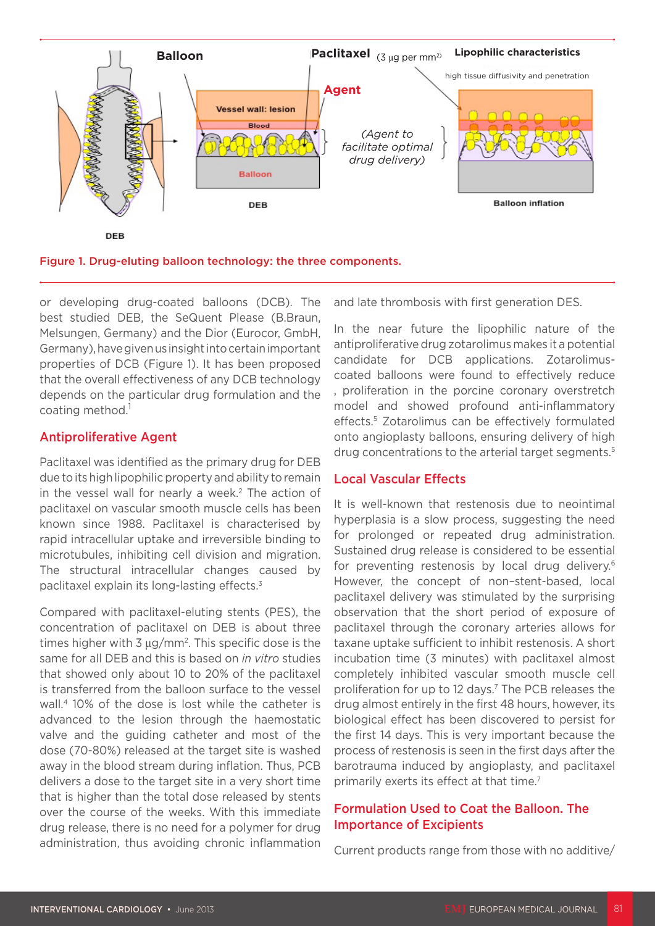

Figure 1. Drug-eluting balloon technology: the three components.

or developing drug-coated balloons (DCB). The best studied DEB, the SeQuent Please (B.Braun, Melsungen, Germany) and the Dior (Eurocor, GmbH, Germany), have given us insight into certain important properties of DCB (Figure 1). It has been proposed that the overall effectiveness of any DCB technology depends on the particular drug formulation and the coating method.<sup>1</sup>

#### Antiproliferative Agent

Paclitaxel was identified as the primary drug for DEB due to its high lipophilic property and ability to remain in the vessel wall for nearly a week.<sup>2</sup> The action of paclitaxel on vascular smooth muscle cells has been known since 1988. Paclitaxel is characterised by rapid intracellular uptake and irreversible binding to microtubules, inhibiting cell division and migration. The structural intracellular changes caused by paclitaxel explain its long-lasting effects.3

Compared with paclitaxel-eluting stents (PES), the concentration of paclitaxel on DEB is about three times higher with 3 μg/mm2. This specific dose is the same for all DEB and this is based on *in vitro* studies that showed only about 10 to 20% of the paclitaxel is transferred from the balloon surface to the vessel wall.4 10% of the dose is lost while the catheter is advanced to the lesion through the haemostatic valve and the guiding catheter and most of the dose (70-80%) released at the target site is washed away in the blood stream during inflation. Thus, PCB delivers a dose to the target site in a very short time that is higher than the total dose released by stents over the course of the weeks. With this immediate drug release, there is no need for a polymer for drug administration, thus avoiding chronic inflammation and late thrombosis with first generation DES.

In the near future the lipophilic nature of the antiproliferative drug zotarolimus makes it a potential candidate for DCB applications. Zotarolimuscoated balloons were found to effectively reduce , proliferation in the porcine coronary overstretch model and showed profound anti-inflammatory effects.5 Zotarolimus can be effectively formulated onto angioplasty balloons, ensuring delivery of high drug concentrations to the arterial target segments.<sup>5</sup>

## Local Vascular Effects

It is well-known that restenosis due to neointimal hyperplasia is a slow process, suggesting the need for prolonged or repeated drug administration. Sustained drug release is considered to be essential for preventing restenosis by local drug delivery.<sup>6</sup> However, the concept of non–stent-based, local paclitaxel delivery was stimulated by the surprising observation that the short period of exposure of paclitaxel through the coronary arteries allows for taxane uptake sufficient to inhibit restenosis. A short incubation time (3 minutes) with paclitaxel almost completely inhibited vascular smooth muscle cell proliferation for up to 12 days.<sup>7</sup> The PCB releases the drug almost entirely in the first 48 hours, however, its biological effect has been discovered to persist for the first 14 days. This is very important because the process of restenosis is seen in the first days after the barotrauma induced by angioplasty, and paclitaxel primarily exerts its effect at that time.<sup>7</sup>

## Formulation Used to Coat the Balloon. The Importance of Excipients

Current products range from those with no additive/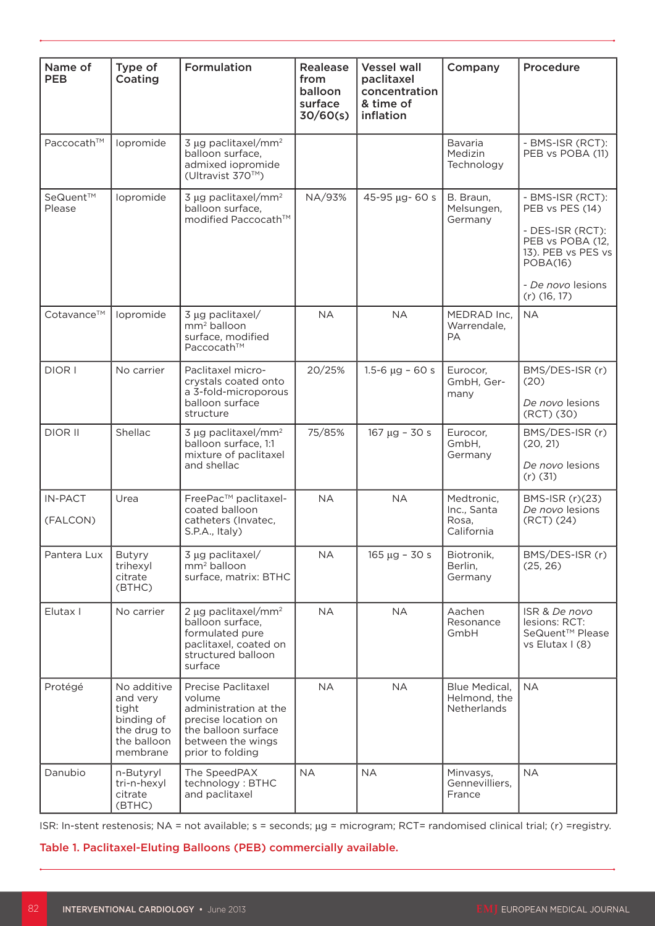| Name of<br><b>PEB</b>      | Type of<br>Coating                                                                       | <b>Formulation</b>                                                                                                                           | Realease<br>from<br>balloon<br>surface<br>30/60(s) | <b>Vessel wall</b><br>paclitaxel<br>concentration<br>& time of<br>inflation | Company                                             | Procedure                                                                                                                                            |
|----------------------------|------------------------------------------------------------------------------------------|----------------------------------------------------------------------------------------------------------------------------------------------|----------------------------------------------------|-----------------------------------------------------------------------------|-----------------------------------------------------|------------------------------------------------------------------------------------------------------------------------------------------------------|
| Paccocath™                 | lopromide                                                                                | 3 µg paclitaxel/mm <sup>2</sup><br>balloon surface,<br>admixed iopromide<br>(Ultravist 370™)                                                 |                                                    |                                                                             | Bavaria<br>Medizin<br>Technology                    | - BMS-ISR (RCT):<br>PEB vs POBA (11)                                                                                                                 |
| SeQuent™<br>Please         | lopromide                                                                                | 3 µg paclitaxel/mm <sup>2</sup><br>balloon surface,<br>modified Paccocath™                                                                   | NA/93%                                             | 45-95 µg- 60 s                                                              | B. Braun,<br>Melsungen,<br>Germany                  | - BMS-ISR (RCT):<br>PEB vs PES (14)<br>- DES-ISR (RCT):<br>PEB vs POBA (12,<br>13). PEB vs PES vs<br>POBA(16)<br>- De novo lesions<br>$(r)$ (16, 17) |
| Cotavance™                 | lopromide                                                                                | 3 µg paclitaxel/<br>mm <sup>2</sup> balloon<br>surface, modified<br>Paccocath™                                                               | <b>NA</b>                                          | <b>NA</b>                                                                   | MEDRAD Inc,<br>Warrendale,<br>PА                    | <b>NA</b>                                                                                                                                            |
| DIOR I                     | No carrier                                                                               | Paclitaxel micro-<br>crystals coated onto<br>a 3-fold-microporous<br>balloon surface<br>structure                                            | 20/25%                                             | $1.5 - 6 \mu g - 60 s$                                                      | Eurocor,<br>GmbH, Ger-<br>many                      | BMS/DES-ISR (r)<br>(20)<br>De novo lesions<br>(RCT) (30)                                                                                             |
| DIOR II                    | Shellac                                                                                  | 3 µg paclitaxel/mm <sup>2</sup><br>balloon surface, 1:1<br>mixture of paclitaxel<br>and shellac                                              | 75/85%                                             | $167 \mu g - 30 s$                                                          | Eurocor,<br>GmbH,<br>Germany                        | BMS/DES-ISR (r)<br>(20, 21)<br>De novo lesions<br>$(r)$ (31)                                                                                         |
| <b>IN-PACT</b><br>(FALCON) | Urea                                                                                     | FreePac™ paclitaxel-<br>coated balloon<br>catheters (Invatec,<br>S.P.A., Italy)                                                              | <b>NA</b>                                          | <b>NA</b>                                                                   | Medtronic,<br>Inc., Santa<br>Rosa,<br>California    | BMS-ISR (r)(23)<br>De novo lesions<br>(RCT) (24)                                                                                                     |
| Pantera Lux                | <b>Butyry</b><br>trihexyl<br>citrate<br>(BTHC)                                           | 3 µg paclitaxel/<br>$\text{mm}^2$ balloon<br>surface, matrix: BTHC                                                                           | <b>NA</b>                                          | $165 \mu g - 30 s$                                                          | Biotronik,<br>Berlin.<br>Germany                    | BMS/DES-ISR (r)<br>(25, 26)                                                                                                                          |
| Elutax I                   | No carrier                                                                               | 2 µg paclitaxel/mm <sup>2</sup><br>balloon surface.<br>formulated pure<br>paclitaxel, coated on<br>structured balloon<br>surface             | <b>NA</b>                                          | <b>NA</b>                                                                   | Aachen<br>Resonance<br>GmbH                         | ISR & De novo<br>lesions: RCT:<br>SeQuent <sup>™</sup> Please<br>vs Elutax I (8)                                                                     |
| Protégé                    | No additive<br>and very<br>tight<br>binding of<br>the drug to<br>the balloon<br>membrane | Precise Paclitaxel<br>volume<br>administration at the<br>precise location on<br>the balloon surface<br>between the wings<br>prior to folding | <b>NA</b>                                          | <b>NA</b>                                                                   | Blue Medical,<br>Helmond, the<br><b>Netherlands</b> | <b>NA</b>                                                                                                                                            |
| Danubio                    | n-Butyryl<br>tri-n-hexyl<br>citrate<br>(BTHC)                                            | The SpeedPAX<br>technology: BTHC<br>and paclitaxel                                                                                           | <b>NA</b>                                          | <b>NA</b>                                                                   | Minvasys,<br>Gennevilliers,<br>France               | <b>NA</b>                                                                                                                                            |

ISR: In-stent restenosis; NA = not available; s = seconds; μg = microgram; RCT= randomised clinical trial; (r) =registry.

Table 1. Paclitaxel-Eluting Balloons (PEB) commercially available.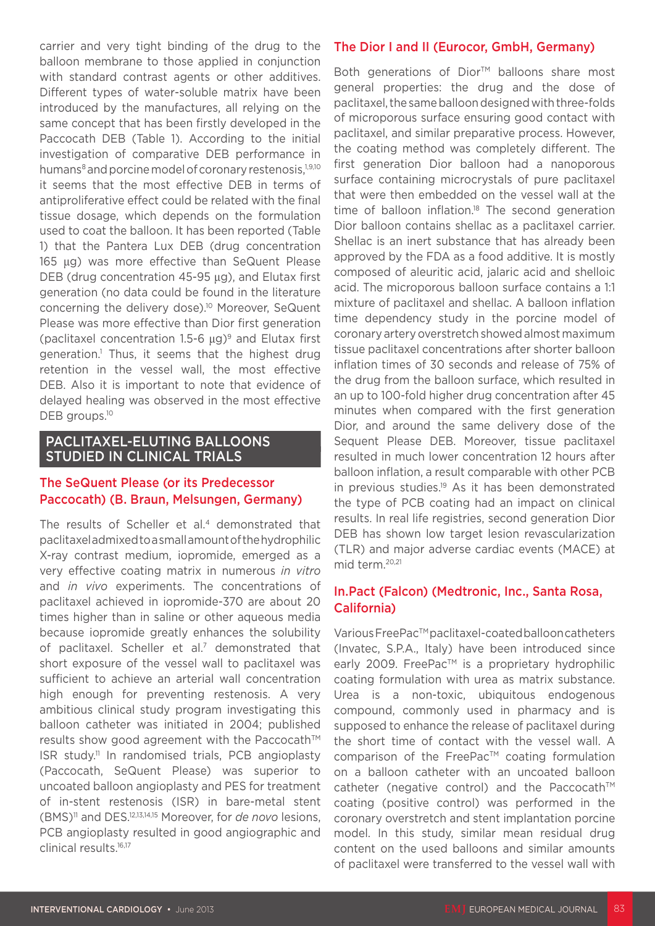carrier and very tight binding of the drug to the balloon membrane to those applied in conjunction with standard contrast agents or other additives. Different types of water-soluble matrix have been introduced by the manufactures, all relying on the same concept that has been firstly developed in the Paccocath DEB (Table 1). According to the initial investigation of comparative DEB performance in humans<sup>8</sup> and porcine model of coronary restenosis.<sup>1,9,10</sup> it seems that the most effective DEB in terms of antiproliferative effect could be related with the final tissue dosage, which depends on the formulation used to coat the balloon. It has been reported (Table 1) that the Pantera Lux DEB (drug concentration 165 μg) was more effective than SeQuent Please DEB (drug concentration 45-95 μg), and Elutax first generation (no data could be found in the literature concerning the delivery dose).10 Moreover, SeQuent Please was more effective than Dior first generation (paclitaxel concentration 1.5-6  $\mu$ g)<sup>9</sup> and Elutax first generation.1 Thus, it seems that the highest drug retention in the vessel wall, the most effective DEB. Also it is important to note that evidence of delayed healing was observed in the most effective DEB groups.<sup>10</sup>

#### PACLITAXEL-ELUTING BALLOONS STUDIED IN CLINICAL TRIALS

## The SeQuent Please (or its Predecessor Paccocath) (B. Braun, Melsungen, Germany)

The results of Scheller et al.<sup>4</sup> demonstrated that paclitaxel admixed to a small amount of the hydrophilic X-ray contrast medium, iopromide, emerged as a very effective coating matrix in numerous *in vitro* and *in vivo* experiments. The concentrations of paclitaxel achieved in iopromide-370 are about 20 times higher than in saline or other aqueous media because iopromide greatly enhances the solubility of paclitaxel. Scheller et al.7 demonstrated that short exposure of the vessel wall to paclitaxel was sufficient to achieve an arterial wall concentration high enough for preventing restenosis. A very ambitious clinical study program investigating this balloon catheter was initiated in 2004; published results show good agreement with the Paccocath™ ISR study.11 In randomised trials, PCB angioplasty (Paccocath, SeQuent Please) was superior to uncoated balloon angioplasty and PES for treatment of in-stent restenosis (ISR) in bare-metal stent (BMS)11 and DES.12,13,14,15 Moreover, for *de novo* lesions, PCB angioplasty resulted in good angiographic and clinical results.<sup>16,17</sup>

## The Dior I and II (Eurocor, GmbH, Germany)

Both generations of Dior™ balloons share most general properties: the drug and the dose of paclitaxel, the same balloon designed with three-folds of microporous surface ensuring good contact with paclitaxel, and similar preparative process. However, the coating method was completely different. The first generation Dior balloon had a nanoporous surface containing microcrystals of pure paclitaxel that were then embedded on the vessel wall at the time of balloon inflation.<sup>18</sup> The second generation Dior balloon contains shellac as a paclitaxel carrier. Shellac is an inert substance that has already been approved by the FDA as a food additive. It is mostly composed of aleuritic acid, jalaric acid and shelloic acid. The microporous balloon surface contains a 1:1 mixture of paclitaxel and shellac. A balloon inflation time dependency study in the porcine model of coronary artery overstretch showed almost maximum tissue paclitaxel concentrations after shorter balloon inflation times of 30 seconds and release of 75% of the drug from the balloon surface, which resulted in an up to 100-fold higher drug concentration after 45 minutes when compared with the first generation Dior, and around the same delivery dose of the Sequent Please DEB. Moreover, tissue paclitaxel resulted in much lower concentration 12 hours after balloon inflation, a result comparable with other PCB in previous studies.<sup>19</sup> As it has been demonstrated the type of PCB coating had an impact on clinical results. In real life registries, second generation Dior DEB has shown low target lesion revascularization (TLR) and major adverse cardiac events (MACE) at mid term.20,21

## In.Pact (Falcon) (Medtronic, Inc., Santa Rosa, California)

Various FreePac™ paclitaxel-coated balloon catheters (Invatec, S.P.A., Italy) have been introduced since early 2009. FreePac<sup>™</sup> is a proprietary hydrophilic coating formulation with urea as matrix substance. Urea is a non-toxic, ubiquitous endogenous compound, commonly used in pharmacy and is supposed to enhance the release of paclitaxel during the short time of contact with the vessel wall. A comparison of the FreePac™ coating formulation on a balloon catheter with an uncoated balloon catheter (negative control) and the Paccocath™ coating (positive control) was performed in the coronary overstretch and stent implantation porcine model. In this study, similar mean residual drug content on the used balloons and similar amounts of paclitaxel were transferred to the vessel wall with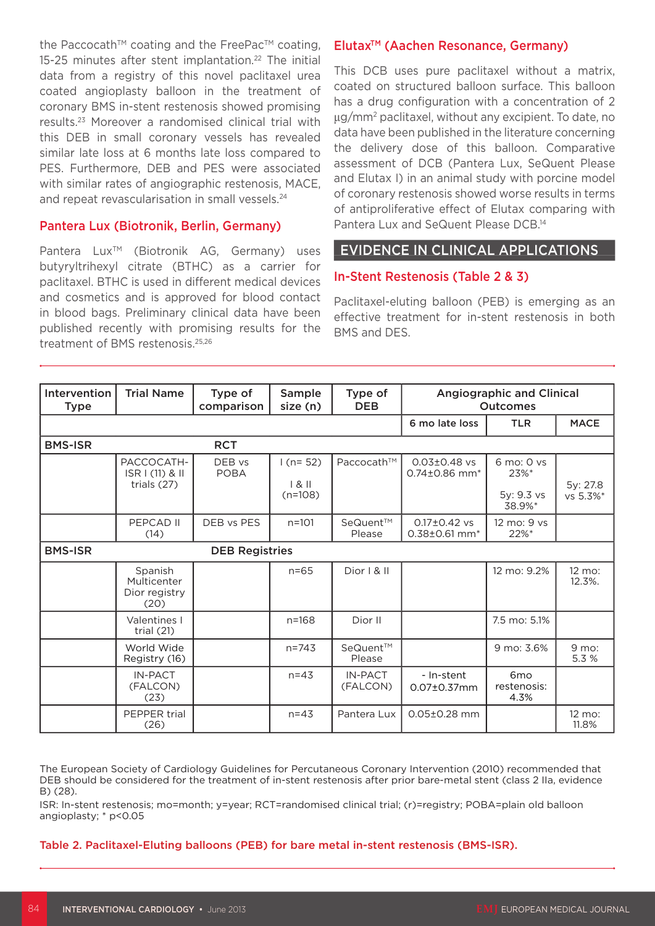the Paccocath<sup>™</sup> coating and the FreePac<sup>™</sup> coating, 15-25 minutes after stent implantation.<sup>22</sup> The initial data from a registry of this novel paclitaxel urea coated angioplasty balloon in the treatment of coronary BMS in-stent restenosis showed promising results.23 Moreover a randomised clinical trial with this DEB in small coronary vessels has revealed similar late loss at 6 months late loss compared to PES. Furthermore, DEB and PES were associated with similar rates of angiographic restenosis, MACE, and repeat revascularisation in small vessels.<sup>24</sup>

#### Pantera Lux (Biotronik, Berlin, Germany)

Pantera Lux<sup>™</sup> (Biotronik AG, Germany) uses butyryltrihexyl citrate (BTHC) as a carrier for paclitaxel. BTHC is used in different medical devices and cosmetics and is approved for blood contact in blood bags. Preliminary clinical data have been published recently with promising results for the treatment of BMS restenosis.25,26

#### Elutax<sup>™</sup> (Aachen Resonance, Germany)

This DCB uses pure paclitaxel without a matrix, coated on structured balloon surface. This balloon has a drug configuration with a concentration of 2 μg/mm2 paclitaxel, without any excipient. To date, no data have been published in the literature concerning the delivery dose of this balloon. Comparative assessment of DCB (Pantera Lux, SeQuent Please and Elutax I) in an animal study with porcine model of coronary restenosis showed worse results in terms of antiproliferative effect of Elutax comparing with Pantera Lux and SeQuent Please DCB.14

#### EVIDENCE IN CLINICAL APPLICATIONS

#### In-Stent Restenosis (Table 2 & 3)

Paclitaxel-eluting balloon (PEB) is emerging as an effective treatment for in-stent restenosis in both BMS and DES.

| Intervention<br><b>Type</b> | <b>Trial Name</b>                               | Type of<br>comparison | Sample<br>size (n)            | Type of<br><b>DEB</b> | <b>Angiographic and Clinical</b><br><b>Outcomes</b> |                                            |                             |
|-----------------------------|-------------------------------------------------|-----------------------|-------------------------------|-----------------------|-----------------------------------------------------|--------------------------------------------|-----------------------------|
|                             |                                                 |                       |                               |                       | 6 mo late loss                                      | <b>TLR</b>                                 | <b>MACE</b>                 |
| <b>BMS-ISR</b>              |                                                 | <b>RCT</b>            |                               |                       |                                                     |                                            |                             |
|                             | PACCOCATH-<br>ISR I (11) & II<br>trials $(27)$  | DEB vs<br><b>POBA</b> | $1(n=52)$<br>181<br>$(n=108)$ | Paccocath™            | $0.03 \pm 0.48$ vs<br>$0.74\pm0.86$ mm <sup>*</sup> | 6 mo: 0 ys<br>23%*<br>5y: 9.3 vs<br>38.9%* | 5y: 27.8<br>vs 5.3%*        |
|                             | PEPCAD II<br>(14)                               | DEB vs PES            | $n = 101$                     | SeQuent™<br>Please    | $0.17 \pm 0.42$ vs<br>$0.38\pm0.61$ mm <sup>*</sup> | 12 mo: 9 vs<br>22%*                        |                             |
| <b>BMS-ISR</b>              |                                                 | <b>DEB Registries</b> |                               |                       |                                                     |                                            |                             |
|                             | Spanish<br>Multicenter<br>Dior registry<br>(20) |                       | $n = 65$                      | Dior 1 & 1            |                                                     | 12 mo: 9.2%                                | $12 \text{ mo}$ :<br>12.3%. |
|                             | Valentines I<br>trial $(21)$                    |                       | $n = 168$                     | Dior II               |                                                     | 7.5 mo: 5.1%                               |                             |
|                             | World Wide<br>Registry (16)                     |                       | $n = 743$                     | SeQuent™<br>Please    |                                                     | 9 mo: 3.6%                                 | 9 mo:<br>5.3 %              |
|                             | <b>IN-PACT</b><br>(FALCON)<br>(23)              |                       | $n = 43$                      | IN-PACT<br>(FALCON)   | - In-stent<br>0.07±0.37mm                           | 6 <sub>mo</sub><br>restenosis:<br>4.3%     |                             |
|                             | PEPPER trial<br>(26)                            |                       | $n = 43$                      | Pantera Lux           | $0.05 \pm 0.28$ mm                                  |                                            | 12 mo:<br>11.8%             |

The European Society of Cardiology Guidelines for Percutaneous Coronary Intervention (2010) recommended that DEB should be considered for the treatment of in-stent restenosis after prior bare-metal stent (class 2 IIa, evidence B) (28).

ISR: In-stent restenosis; mo=month; y=year; RCT=randomised clinical trial; (r)=registry; POBA=plain old balloon angioplasty; \* p<0.05

#### Table 2. Paclitaxel-Eluting balloons (PEB) for bare metal in-stent restenosis (BMS-ISR).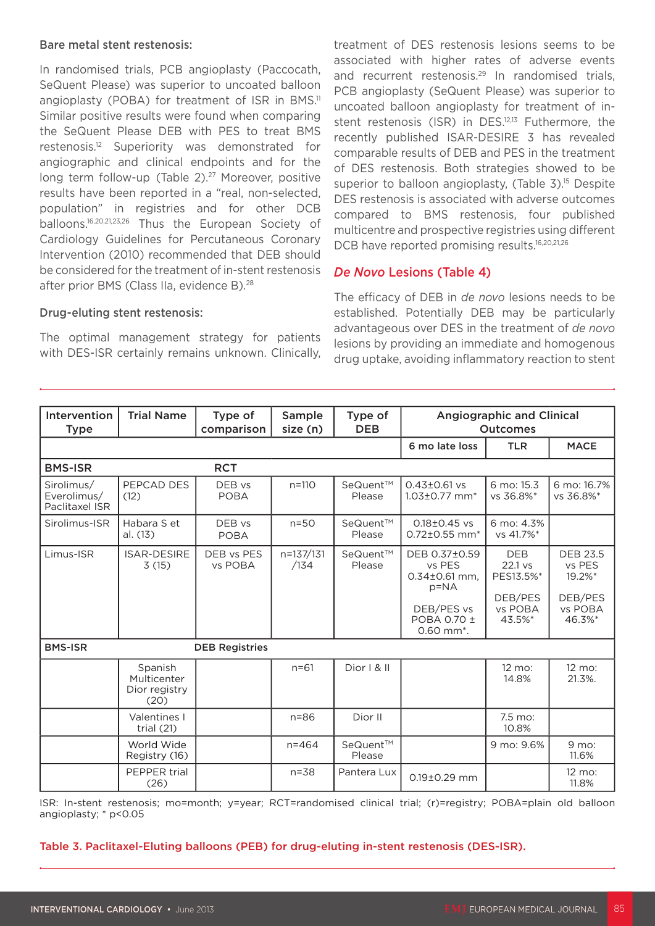#### Bare metal stent restenosis:

In randomised trials, PCB angioplasty (Paccocath, SeQuent Please) was superior to uncoated balloon angioplasty (POBA) for treatment of ISR in BMS.<sup>11</sup> Similar positive results were found when comparing the SeQuent Please DEB with PES to treat BMS restenosis.12 Superiority was demonstrated for angiographic and clinical endpoints and for the long term follow-up (Table 2).<sup>27</sup> Moreover, positive results have been reported in a "real, non-selected, population" in registries and for other DCB balloons.16,20,21,23,26 Thus the European Society of Cardiology Guidelines for Percutaneous Coronary Intervention (2010) recommended that DEB should be considered for the treatment of in-stent restenosis after prior BMS (Class IIa, evidence B).<sup>28</sup>

Drug-eluting stent restenosis:

The optimal management strategy for patients with DES-ISR certainly remains unknown. Clinically, treatment of DES restenosis lesions seems to be associated with higher rates of adverse events and recurrent restenosis.<sup>29</sup> In randomised trials, PCB angioplasty (SeQuent Please) was superior to uncoated balloon angioplasty for treatment of instent restenosis (ISR) in DES.<sup>12,13</sup> Futhermore, the recently published ISAR-DESIRE 3 has revealed comparable results of DEB and PES in the treatment of DES restenosis. Both strategies showed to be superior to balloon angioplasty, (Table 3).<sup>15</sup> Despite DES restenosis is associated with adverse outcomes compared to BMS restenosis, four published multicentre and prospective registries using different DCB have reported promising results.<sup>16,20,21,26</sup>

#### *De Novo* Lesions (Table 4)

The efficacy of DEB in *de novo* lesions needs to be established. Potentially DEB may be particularly advantageous over DES in the treatment of *de novo* lesions by providing an immediate and homogenous drug uptake, avoiding inflammatory reaction to stent

| Intervention<br><b>Type</b>                 | <b>Trial Name</b>                               | Type of<br>comparison | Sample<br>size (n) | Type of<br><b>DEB</b> | <b>Angiographic and Clinical</b><br><b>Outcomes</b>                                                               |                                                                      |                                                                     |  |
|---------------------------------------------|-------------------------------------------------|-----------------------|--------------------|-----------------------|-------------------------------------------------------------------------------------------------------------------|----------------------------------------------------------------------|---------------------------------------------------------------------|--|
|                                             |                                                 |                       |                    |                       | 6 mo late loss                                                                                                    | <b>TLR</b>                                                           | <b>MACE</b>                                                         |  |
| <b>BMS-ISR</b>                              |                                                 | <b>RCT</b>            |                    |                       |                                                                                                                   |                                                                      |                                                                     |  |
| Sirolimus/<br>Everolimus/<br>Paclitaxel ISR | PEPCAD DES<br>(12)                              | DEB vs<br><b>POBA</b> | $n = 110$          | SeQuent™<br>Please    | $0.43 \pm 0.61$ vs<br>$1.03\pm0.77$ mm <sup>*</sup>                                                               | 6 mo: 15.3<br>vs 36.8%*                                              | 6 mo: 16.7%<br>vs 36.8%*                                            |  |
| Sirolimus-ISR                               | Habara S et<br>al. (13)                         | DEB vs<br><b>POBA</b> | $n=50$             | SeQuent™<br>Please    | $0.18 \pm 0.45$ vs<br>$0.72 \pm 0.55$ mm <sup>*</sup>                                                             | 6 mo: 4.3%<br>vs 41.7%*                                              |                                                                     |  |
| Limus-ISR                                   | <b>ISAR-DESIRE</b><br>3(15)                     | DEB vs PES<br>vs POBA | n=137/131<br>/134  | SeQuent™<br>Please    | DEB 0.37±0.59<br>vs PES<br>$0.34 \pm 0.61$ mm,<br>$p = NA$<br>DEB/PES vs<br>POBA 0.70 ±<br>0.60 mm <sup>*</sup> . | <b>DEB</b><br>$22.1$ vs<br>PES13.5%*<br>DEB/PES<br>vs POBA<br>43.5%* | <b>DEB 23.5</b><br>vs PES<br>19.2%*<br>DEB/PES<br>vs POBA<br>46.3%* |  |
| <b>BMS-ISR</b><br><b>DEB Registries</b>     |                                                 |                       |                    |                       |                                                                                                                   |                                                                      |                                                                     |  |
|                                             | Spanish<br>Multicenter<br>Dior registry<br>(20) |                       | $n = 61$           | Dior I & II           |                                                                                                                   | 12 mo:<br>14.8%                                                      | 12 mo:<br>21.3%.                                                    |  |
|                                             | Valentines I<br>trial $(21)$                    |                       | $n = 86$           | Dior II               |                                                                                                                   | 7.5 mo:<br>10.8%                                                     |                                                                     |  |
|                                             | World Wide<br>Registry (16)                     |                       | $n = 464$          | SeQuent™<br>Please    |                                                                                                                   | 9 mo: 9.6%                                                           | 9 mo:<br>11.6%                                                      |  |
|                                             | PEPPER trial<br>(26)                            |                       | $n = 38$           | Pantera Lux           | 0.19±0.29 mm                                                                                                      |                                                                      | 12 mo:<br>11.8%                                                     |  |

ISR: In-stent restenosis; mo=month; y=year; RCT=randomised clinical trial; (r)=registry; POBA=plain old balloon angioplasty; \* p<0.05

Table 3. Paclitaxel-Eluting balloons (PEB) for drug-eluting in-stent restenosis (DES-ISR).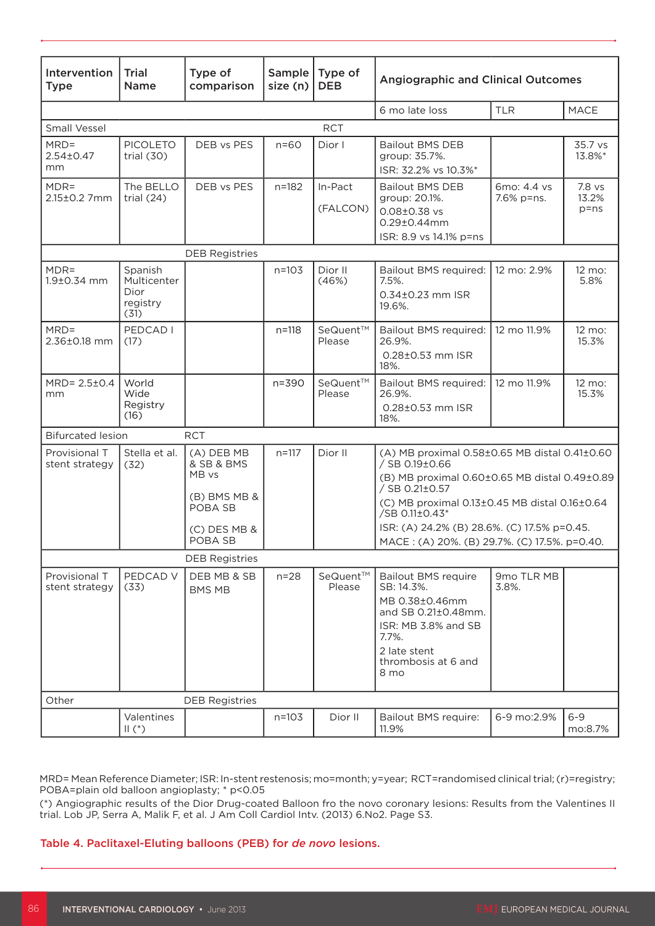| Intervention<br><b>Type</b>       | <b>Trial</b><br>Name                               | Type of<br>comparison             | Sample<br>size (n) | Type of<br><b>DEB</b> | <b>Angiographic and Clinical Outcomes</b>                                                                                                                        |                           |                             |
|-----------------------------------|----------------------------------------------------|-----------------------------------|--------------------|-----------------------|------------------------------------------------------------------------------------------------------------------------------------------------------------------|---------------------------|-----------------------------|
|                                   |                                                    |                                   |                    |                       | 6 mo late loss                                                                                                                                                   | <b>TLR</b>                | MACE                        |
| <b>RCT</b><br><b>Small Vessel</b> |                                                    |                                   |                    |                       |                                                                                                                                                                  |                           |                             |
| $MRD =$<br>$2.54 \pm 0.47$<br>mm  | <b>PICOLETO</b><br>trial $(30)$                    | DEB vs PES                        | $n=60$             | Dior I                | <b>Bailout BMS DEB</b><br>group: 35.7%.<br>ISR: 32.2% vs 10.3%*                                                                                                  |                           | 35.7 vs<br>13.8%*           |
| $MDR =$<br>2.15±0.2 7mm           | The BELLO<br>trial $(24)$                          | DEB vs PES                        | $n = 182$          | In-Pact<br>(FALCON)   | <b>Bailout BMS DEB</b><br>group: 20.1%.<br>$0.08 \pm 0.38$ vs<br>0.29±0.44mm<br>ISR: 8.9 vs 14.1% p=ns                                                           | 6mo: 4.4 vs<br>7.6% p=ns. | 7.8 vs<br>13.2%<br>$p = ns$ |
|                                   |                                                    | <b>DEB Registries</b>             |                    |                       |                                                                                                                                                                  |                           |                             |
| $MDR =$<br>1.9±0.34 mm            | Spanish<br>Multicenter<br>Dior<br>registry<br>(31) |                                   | $n = 103$          | Dior II<br>(46%)      | Bailout BMS required:<br>7.5%.<br>0.34±0.23 mm ISR<br>19.6%.                                                                                                     | 12 mo: 2.9%               | 12 mo:<br>5.8%              |
| $MRD =$<br>2.36±0.18 mm           | PEDCAD I<br>(17)                                   |                                   | $n = 118$          | SeQuent™<br>Please    | Bailout BMS required:<br>26.9%.<br>0.28±0.53 mm ISR<br>18%.                                                                                                      | 12 mo 11.9%               | 12 mo:<br>15.3%             |
| MRD= 2.5±0.4<br>mm                | World<br>Wide<br>Registry<br>(16)                  |                                   | $n = 390$          | SeQuent™<br>Please    | Bailout BMS required:<br>26.9%.<br>0.28±0.53 mm ISR<br>18%.                                                                                                      | 12 mo 11.9%               | 12 mo:<br>15.3%             |
| <b>Bifurcated lesion</b>          |                                                    | <b>RCT</b>                        |                    |                       |                                                                                                                                                                  |                           |                             |
| Provisional T<br>stent strategy   | Stella et al.<br>(32)                              | (A) DEB MB<br>& SB & BMS<br>MB vs | $n = 117$          | Dior II               | (A) MB proximal 0.58±0.65 MB distal 0.41±0.60<br>/ SB 0.19±0.66<br>(B) MB proximal 0.60±0.65 MB distal 0.49±0.89<br>/ SB 0.21±0.57                               |                           |                             |
|                                   |                                                    | (B) BMS MB &<br>POBA SB           |                    |                       | (C) MB proximal 0.13±0.45 MB distal 0.16±0.64<br>/SB 0.11±0.43*                                                                                                  |                           |                             |
|                                   |                                                    | (C) DES MB &<br>POBA SB           |                    |                       | ISR: (A) 24.2% (B) 28.6%. (C) 17.5% p=0.45.<br>MACE: (A) 20%. (B) 29.7%. (C) 17.5%. p=0.40.                                                                      |                           |                             |
|                                   |                                                    | <b>DEB Registries</b>             |                    |                       |                                                                                                                                                                  |                           |                             |
| Provisional T<br>stent strategy   | PEDCAD V<br>(33)                                   | DEB MB & SB<br><b>BMS MB</b>      | $n=28$             | SeQuent™<br>Please    | <b>Bailout BMS require</b><br>SB: 14.3%.<br>MB 0.38±0.46mm<br>and SB 0.21±0.48mm.<br>ISR: MB 3.8% and SB<br>7.7%.<br>2 late stent<br>thrombosis at 6 and<br>8 mo | 9mo TLR MB<br>3.8%.       |                             |
| Other                             |                                                    | <b>DEB Registries</b>             |                    |                       |                                                                                                                                                                  |                           |                             |
|                                   | Valentines<br>$\parallel$ (*)                      |                                   | $n = 103$          | Dior II               | <b>Bailout BMS require:</b><br>11.9%                                                                                                                             | 6-9 mo:2.9%               | $6 - 9$<br>mo:8.7%          |

MRD= Mean Reference Diameter; ISR: In-stent restenosis; mo=month; y=year; RCT=randomised clinical trial; (r)=registry; POBA=plain old balloon angioplasty; \* p<0.05

(\*) Angiographic results of the Dior Drug-coated Balloon fro the novo coronary lesions: Results from the Valentines II trial. Lob JP, Serra A, Malik F, et al. J Am Coll Cardiol Intv. (2013) 6.No2. Page S3.

Table 4. Paclitaxel-Eluting balloons (PEB) for *de novo* lesions.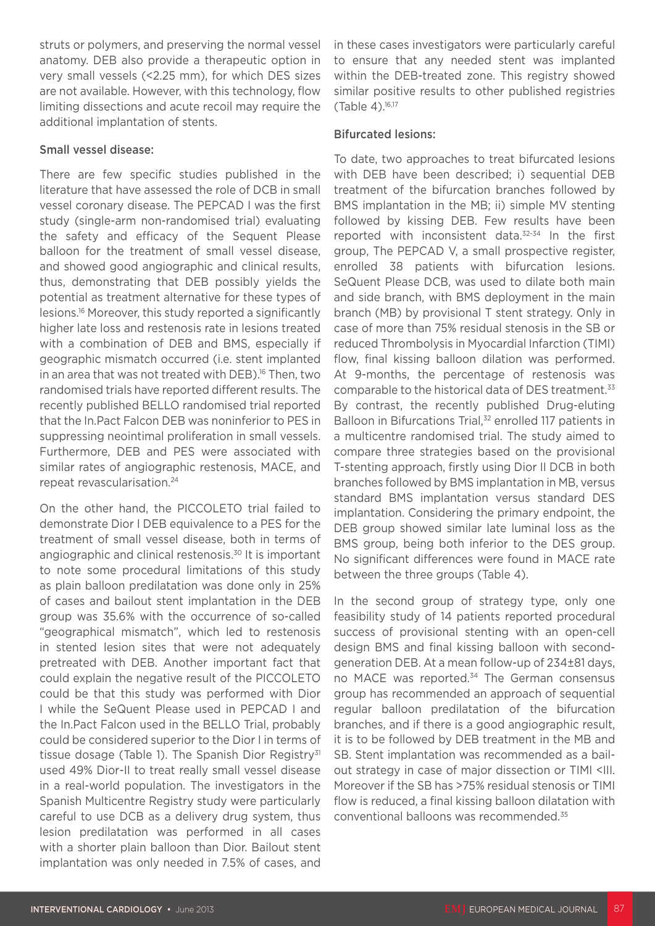struts or polymers, and preserving the normal vessel anatomy. DEB also provide a therapeutic option in very small vessels (<2.25 mm), for which DES sizes are not available. However, with this technology, flow limiting dissections and acute recoil may require the additional implantation of stents.

#### Small vessel disease:

There are few specific studies published in the literature that have assessed the role of DCB in small vessel coronary disease. The PEPCAD I was the first study (single-arm non-randomised trial) evaluating the safety and efficacy of the Sequent Please balloon for the treatment of small vessel disease, and showed good angiographic and clinical results, thus, demonstrating that DEB possibly yields the potential as treatment alternative for these types of lesions.16 Moreover, this study reported a significantly higher late loss and restenosis rate in lesions treated with a combination of DEB and BMS, especially if geographic mismatch occurred (i.e. stent implanted in an area that was not treated with DEB).<sup>16</sup> Then, two randomised trials have reported different results. The recently published BELLO randomised trial reported that the In.Pact Falcon DEB was noninferior to PES in suppressing neointimal proliferation in small vessels. Furthermore, DEB and PES were associated with similar rates of angiographic restenosis, MACE, and repeat revascularisation.24

On the other hand, the PICCOLETO trial failed to demonstrate Dior I DEB equivalence to a PES for the treatment of small vessel disease, both in terms of angiographic and clinical restenosis.30 It is important to note some procedural limitations of this study as plain balloon predilatation was done only in 25% of cases and bailout stent implantation in the DEB group was 35.6% with the occurrence of so-called "geographical mismatch", which led to restenosis in stented lesion sites that were not adequately pretreated with DEB. Another important fact that could explain the negative result of the PICCOLETO could be that this study was performed with Dior I while the SeQuent Please used in PEPCAD I and the In.Pact Falcon used in the BELLO Trial, probably could be considered superior to the Dior I in terms of tissue dosage (Table 1). The Spanish Dior Registry $31$ used 49% Dior-II to treat really small vessel disease in a real-world population. The investigators in the Spanish Multicentre Registry study were particularly careful to use DCB as a delivery drug system, thus lesion predilatation was performed in all cases with a shorter plain balloon than Dior. Bailout stent implantation was only needed in 7.5% of cases, and

in these cases investigators were particularly careful to ensure that any needed stent was implanted within the DEB-treated zone. This registry showed similar positive results to other published registries (Table 4).16,17

# Bifurcated lesions:

To date, two approaches to treat bifurcated lesions with DEB have been described; i) sequential DEB treatment of the bifurcation branches followed by BMS implantation in the MB; ii) simple MV stenting followed by kissing DEB. Few results have been reported with inconsistent data.32-34 In the first group, The PEPCAD V, a small prospective register, enrolled 38 patients with bifurcation lesions. SeQuent Please DCB, was used to dilate both main and side branch, with BMS deployment in the main branch (MB) by provisional T stent strategy. Only in case of more than 75% residual stenosis in the SB or reduced Thrombolysis in Myocardial Infarction (TIMI) flow, final kissing balloon dilation was performed. At 9-months, the percentage of restenosis was comparable to the historical data of DES treatment.<sup>33</sup> By contrast, the recently published Drug-eluting Balloon in Bifurcations Trial,<sup>32</sup> enrolled 117 patients in a multicentre randomised trial. The study aimed to compare three strategies based on the provisional T-stenting approach, firstly using Dior II DCB in both branches followed by BMS implantation in MB, versus standard BMS implantation versus standard DES implantation. Considering the primary endpoint, the DEB group showed similar late luminal loss as the BMS group, being both inferior to the DES group. No significant differences were found in MACE rate between the three groups (Table 4).

In the second group of strategy type, only one feasibility study of 14 patients reported procedural success of provisional stenting with an open-cell design BMS and final kissing balloon with secondgeneration DEB. At a mean follow-up of 234±81 days, no MACE was reported.<sup>34</sup> The German consensus group has recommended an approach of sequential regular balloon predilatation of the bifurcation branches, and if there is a good angiographic result, it is to be followed by DEB treatment in the MB and SB. Stent implantation was recommended as a bailout strategy in case of major dissection or TIMI <III. Moreover if the SB has >75% residual stenosis or TIMI flow is reduced, a final kissing balloon dilatation with conventional balloons was recommended.35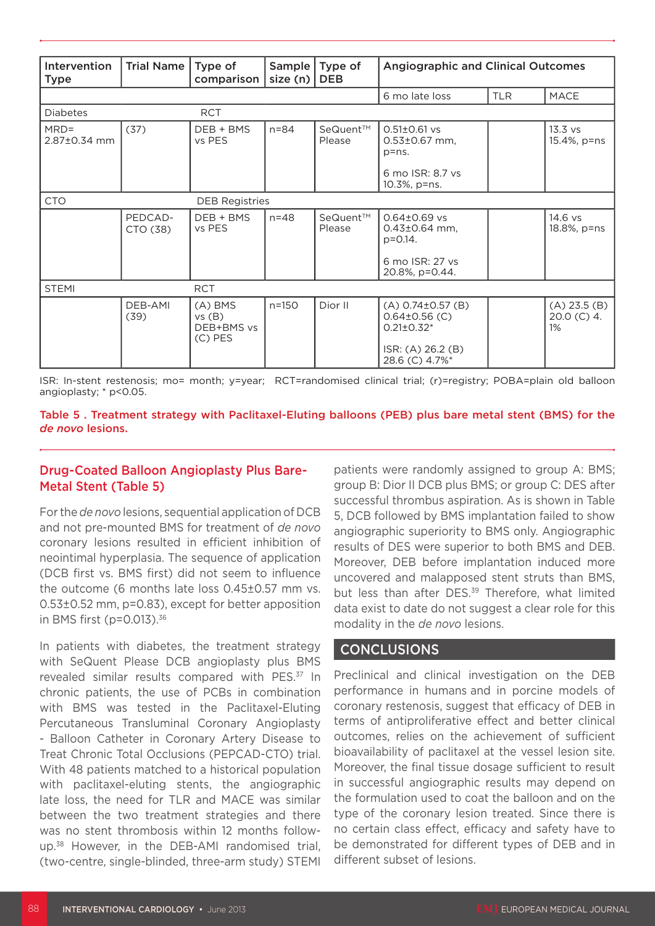| Intervention            | Trial Name          | Type of                                       |              | Sample   Type of   | <b>Angiographic and Clinical Outcomes</b>                                                                |            |                                    |
|-------------------------|---------------------|-----------------------------------------------|--------------|--------------------|----------------------------------------------------------------------------------------------------------|------------|------------------------------------|
| <b>Type</b>             |                     | comparison                                    | size (n) $ $ | <b>DEB</b>         |                                                                                                          |            |                                    |
|                         |                     |                                               |              |                    | 6 mo late loss                                                                                           | <b>TLR</b> | <b>MACE</b>                        |
| <b>Diabetes</b>         |                     | <b>RCT</b>                                    |              |                    |                                                                                                          |            |                                    |
| $MRD =$<br>2.87±0.34 mm | (37)                | DEB + BMS<br>vs PES                           | $n = 84$     | SeQuent™<br>Please | $0.51 \pm 0.61$ vs<br>$0.53 \pm 0.67$ mm,<br>$p = ns$ .                                                  |            | $13.3$ vs<br>15.4%, p=ns           |
|                         |                     |                                               |              |                    | 6 mo ISR: 8.7 ys<br>10.3%, p=ns.                                                                         |            |                                    |
| <b>CTO</b>              |                     | <b>DEB Registries</b>                         |              |                    |                                                                                                          |            |                                    |
|                         | PEDCAD-<br>CTO (38) | DEB + BMS<br>vs PES                           | $n = 48$     | SeQuent™<br>Please | $0.64 \pm 0.69$ vs<br>$0.43 \pm 0.64$ mm,<br>$p = 0.14$ .                                                |            | 14.6 vs<br>18.8%, p=ns             |
|                         |                     |                                               |              |                    | 6 mo ISR: 27 ys<br>20.8%, p=0.44.                                                                        |            |                                    |
| <b>STEMI</b>            |                     | <b>RCT</b>                                    |              |                    |                                                                                                          |            |                                    |
|                         | DEB-AMI<br>(39)     | $(A)$ BMS<br>vs(B)<br>DEB+BMS vs<br>$(C)$ PES | $n = 150$    | Dior II            | $(A) 0.74 \pm 0.57$ (B)<br>$0.64\pm0.56$ (C)<br>$0.21 \pm 0.32$ *<br>ISR: (A) 26.2 (B)<br>28.6 (C) 4.7%* |            | (A) 23.5(B)<br>$20.0$ (C) 4.<br>1% |

ISR: In-stent restenosis; mo= month; y=year; RCT=randomised clinical trial; (r)=registry; POBA=plain old balloon angioplasty; \* p<0.05.

Table 5 . Treatment strategy with Paclitaxel-Eluting balloons (PEB) plus bare metal stent (BMS) for the *de novo* lesions.

#### Drug-Coated Balloon Angioplasty Plus Bare-Metal Stent (Table 5)

For the *de novo* lesions, sequential application of DCB and not pre-mounted BMS for treatment of *de novo* coronary lesions resulted in efficient inhibition of neointimal hyperplasia. The sequence of application (DCB first vs. BMS first) did not seem to influence the outcome (6 months late loss 0.45±0.57 mm vs. 0.53±0.52 mm, p=0.83), except for better apposition in BMS first ( $p=0.013$ ).<sup>36</sup>

In patients with diabetes, the treatment strategy with SeQuent Please DCB angioplasty plus BMS revealed similar results compared with PES.<sup>37</sup> In chronic patients, the use of PCBs in combination with BMS was tested in the Paclitaxel-Eluting Percutaneous Transluminal Coronary Angioplasty - Balloon Catheter in Coronary Artery Disease to Treat Chronic Total Occlusions (PEPCAD-CTO) trial. With 48 patients matched to a historical population with paclitaxel-eluting stents, the angiographic late loss, the need for TLR and MACE was similar between the two treatment strategies and there was no stent thrombosis within 12 months followup.38 However, in the DEB-AMI randomised trial, (two-centre, single-blinded, three-arm study) STEMI

patients were randomly assigned to group A: BMS; group B: Dior II DCB plus BMS; or group C: DES after successful thrombus aspiration. As is shown in Table 5, DCB followed by BMS implantation failed to show angiographic superiority to BMS only. Angiographic results of DES were superior to both BMS and DEB. Moreover, DEB before implantation induced more uncovered and malapposed stent struts than BMS, but less than after DES.<sup>39</sup> Therefore, what limited data exist to date do not suggest a clear role for this modality in the *de novo* lesions.

## CONCLUSIONS

Preclinical and clinical investigation on the DEB performance in humans and in porcine models of coronary restenosis, suggest that efficacy of DEB in terms of antiproliferative effect and better clinical outcomes, relies on the achievement of sufficient bioavailability of paclitaxel at the vessel lesion site. Moreover, the final tissue dosage sufficient to result in successful angiographic results may depend on the formulation used to coat the balloon and on the type of the coronary lesion treated. Since there is no certain class effect, efficacy and safety have to be demonstrated for different types of DEB and in different subset of lesions.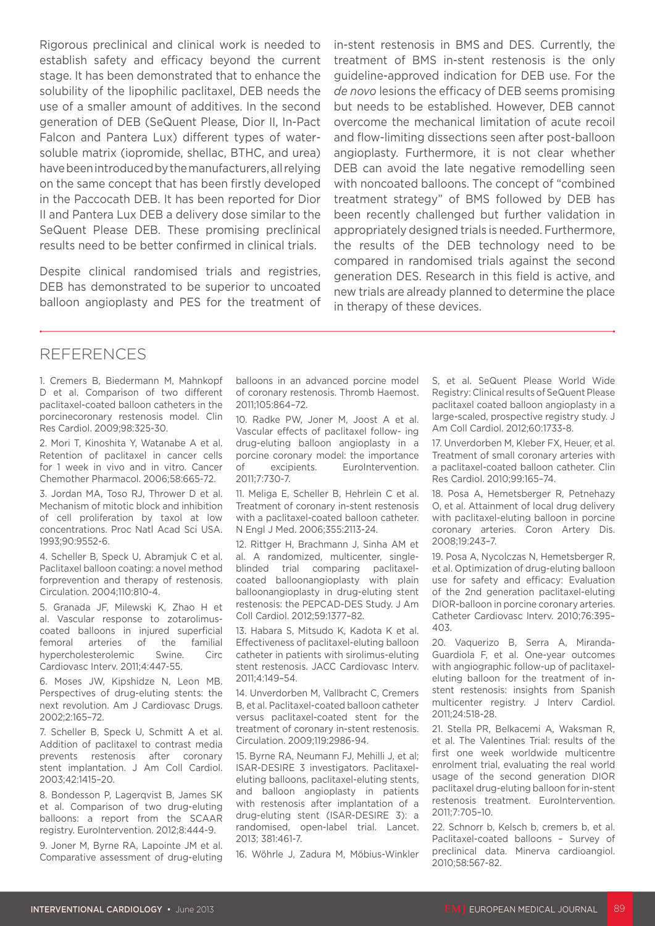Rigorous preclinical and clinical work is needed to establish safety and efficacy beyond the current stage. It has been demonstrated that to enhance the solubility of the lipophilic paclitaxel, DEB needs the use of a smaller amount of additives. In the second generation of DEB (SeQuent Please, Dior II, In-Pact Falcon and Pantera Lux) different types of watersoluble matrix (iopromide, shellac, BTHC, and urea) have been introduced by the manufacturers, all relying on the same concept that has been firstly developed in the Paccocath DEB. It has been reported for Dior II and Pantera Lux DEB a delivery dose similar to the SeQuent Please DEB. These promising preclinical results need to be better confirmed in clinical trials.

Despite clinical randomised trials and registries, DEB has demonstrated to be superior to uncoated balloon angioplasty and PES for the treatment of in-stent restenosis in BMS and DES. Currently, the treatment of BMS in-stent restenosis is the only guideline-approved indication for DEB use. For the *de novo* lesions the efficacy of DEB seems promising but needs to be established. However, DEB cannot overcome the mechanical limitation of acute recoil and flow-limiting dissections seen after post-balloon angioplasty. Furthermore, it is not clear whether DEB can avoid the late negative remodelling seen with noncoated balloons. The concept of "combined treatment strategy" of BMS followed by DEB has been recently challenged but further validation in appropriately designed trials is needed. Furthermore, the results of the DEB technology need to be compared in randomised trials against the second generation DES. Research in this field is active, and new trials are already planned to determine the place in therapy of these devices.

# REFERENCES

1. Cremers B, Biedermann M, Mahnkopf D et al. Comparison of two different paclitaxel-coated balloon catheters in the porcinecoronary restenosis model. Clin Res Cardiol. 2009;98:325-30.

2. Mori T, Kinoshita Y, Watanabe A et al. Retention of paclitaxel in cancer cells for 1 week in vivo and in vitro. Cancer Chemother Pharmacol. 2006;58:665-72.

3. Jordan MA, Toso RJ, Thrower D et al. Mechanism of mitotic block and inhibition of cell proliferation by taxol at low concentrations. Proc Natl Acad Sci USA. 1993;90:9552-6.

4. Scheller B, Speck U, Abramjuk C et al. Paclitaxel balloon coating: a novel method forprevention and therapy of restenosis. Circulation. 2004;110:810-4.

5. Granada JF, Milewski K, Zhao H et al. Vascular response to zotarolimuscoated balloons in injured superficial femoral arteries of the familial hypercholesterolemic Swine. Circ Cardiovasc Interv. 2011;4:447-55.

6. Moses JW, Kipshidze N, Leon MB. Perspectives of drug-eluting stents: the next revolution. Am J Cardiovasc Drugs. 2002;2:165–72.

7. Scheller B, Speck U, Schmitt A et al. Addition of paclitaxel to contrast media prevents restenosis after coronary stent implantation. J Am Coll Cardiol. 2003;42:1415–20.

8. Bondesson P, Lagerqvist B, James SK et al. Comparison of two drug-eluting balloons: a report from the SCAAR registry. EuroIntervention. 2012;8:444-9.

9. Joner M, Byrne RA, Lapointe JM et al. Comparative assessment of drug-eluting balloons in an advanced porcine model of coronary restenosis. Thromb Haemost. 2011;105:864–72.

10. Radke PW, Joner M, Joost A et al. Vascular effects of paclitaxel follow- ing drug-eluting balloon angioplasty in a porcine coronary model: the importance of excipients. EuroIntervention. 2011;7:730-7.

11. Meliga E, Scheller B, Hehrlein C et al. Treatment of coronary in-stent restenosis with a paclitaxel-coated balloon catheter. N Engl J Med. 2006;355:2113-24.

12. Rittger H, Brachmann J, Sinha AM et al. A randomized, multicenter, singleblinded trial comparing paclitaxelcoated balloonangioplasty with plain balloonangioplasty in drug-eluting stent restenosis: the PEPCAD-DES Study. J Am Coll Cardiol. 2012;59:1377–82.

13. Habara S, Mitsudo K, Kadota K et al. Effectiveness of paclitaxel-eluting balloon catheter in patients with sirolimus-eluting stent restenosis. JACC Cardiovasc Interv. 2011;4:149–54.

14. Unverdorben M, Vallbracht C, Cremers B, et al. Paclitaxel-coated balloon catheter versus paclitaxel-coated stent for the treatment of coronary in-stent restenosis. Circulation. 2009;119:2986-94.

15. Byrne RA, Neumann FJ, Mehilli J, et al; ISAR-DESIRE 3 investigators. Paclitaxeleluting balloons, paclitaxel-eluting stents, and balloon angioplasty in patients with restenosis after implantation of a drug-eluting stent (ISAR-DESIRE 3): a randomised, open-label trial. Lancet. 2013; 381:461-7.

16. Wöhrle J, Zadura M, Möbius-Winkler

S, et al. SeQuent Please World Wide Registry: Clinical results of SeQuent Please paclitaxel coated balloon angioplasty in a large-scaled, prospective registry study. J Am Coll Cardiol. 2012;60:1733-8.

17. Unverdorben M, Kleber FX, Heuer, et al. Treatment of small coronary arteries with a paclitaxel-coated balloon catheter. Clin Res Cardiol. 2010;99:165–74.

18. Posa A, Hemetsberger R, Petnehazy O, et al. Attainment of local drug delivery with paclitaxel-eluting balloon in porcine coronary arteries. Coron Artery Dis. 2008;19:243–7.

19. Posa A, Nycolczas N, Hemetsberger R, et al. Optimization of drug-eluting balloon use for safety and efficacy: Evaluation of the 2nd generation paclitaxel-eluting DIOR-balloon in porcine coronary arteries. Catheter Cardiovasc Interv. 2010;76:395– 403.

20. Vaquerizo B, Serra A, Miranda-Guardiola F, et al. One-year outcomes with angiographic follow-up of paclitaxeleluting balloon for the treatment of instent restenosis: insights from Spanish multicenter registry. J Interv Cardiol. 2011;24:518-28.

21. Stella PR, Belkacemi A, Waksman R, et al. The Valentines Trial: results of the first one week worldwide multicentre enrolment trial, evaluating the real world usage of the second generation DIOR paclitaxel drug-eluting balloon for in-stent restenosis treatment. EuroIntervention. 2011;7:705–10.

22. Schnorr b, Kelsch b, cremers b, et al. Paclitaxel-coated balloons – Survey of preclinical data. Minerva cardioangiol. 2010;58:567-82.